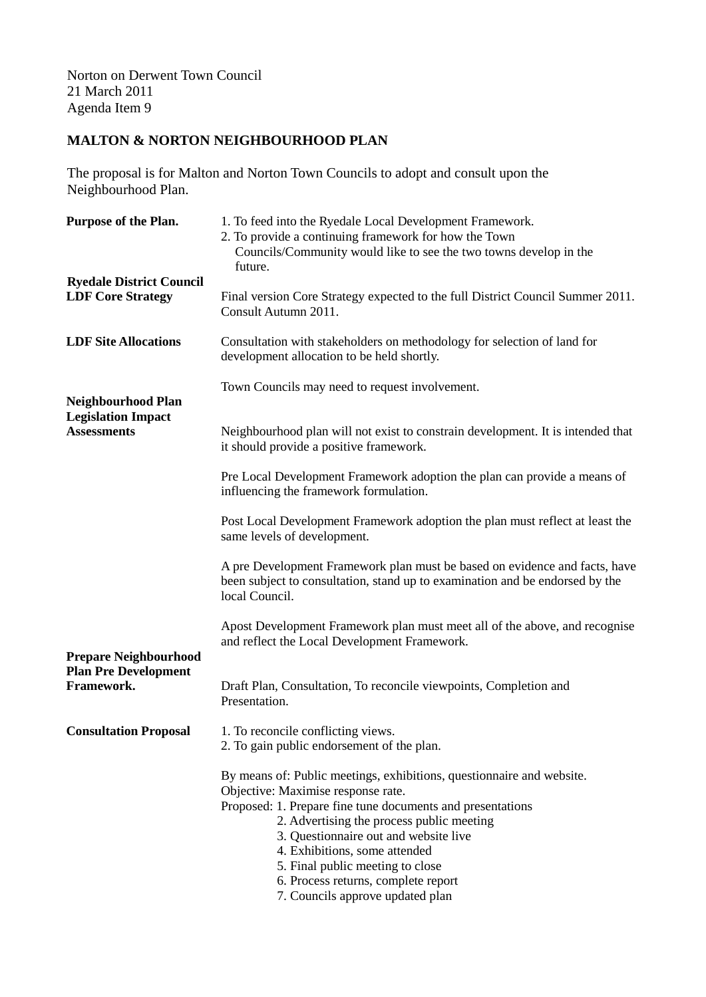Norton on Derwent Town Council 21 March 2011 Agenda Item 9

## **MALTON & NORTON NEIGHBOURHOOD PLAN**

The proposal is for Malton and Norton Town Councils to adopt and consult upon the Neighbourhood Plan.

| Purpose of the Plan.                                                         | 1. To feed into the Ryedale Local Development Framework.<br>2. To provide a continuing framework for how the Town<br>Councils/Community would like to see the two towns develop in the<br>future.                                                                                                                                                                                                               |  |  |
|------------------------------------------------------------------------------|-----------------------------------------------------------------------------------------------------------------------------------------------------------------------------------------------------------------------------------------------------------------------------------------------------------------------------------------------------------------------------------------------------------------|--|--|
| <b>Ryedale District Council</b><br><b>LDF Core Strategy</b>                  | Final version Core Strategy expected to the full District Council Summer 2011.<br>Consult Autumn 2011.                                                                                                                                                                                                                                                                                                          |  |  |
| <b>LDF Site Allocations</b>                                                  | Consultation with stakeholders on methodology for selection of land for<br>development allocation to be held shortly.                                                                                                                                                                                                                                                                                           |  |  |
| <b>Neighbourhood Plan</b><br><b>Legislation Impact</b><br><b>Assessments</b> | Town Councils may need to request involvement.                                                                                                                                                                                                                                                                                                                                                                  |  |  |
|                                                                              | Neighbourhood plan will not exist to constrain development. It is intended that<br>it should provide a positive framework.                                                                                                                                                                                                                                                                                      |  |  |
|                                                                              | Pre Local Development Framework adoption the plan can provide a means of<br>influencing the framework formulation.                                                                                                                                                                                                                                                                                              |  |  |
|                                                                              | Post Local Development Framework adoption the plan must reflect at least the<br>same levels of development.                                                                                                                                                                                                                                                                                                     |  |  |
|                                                                              | A pre Development Framework plan must be based on evidence and facts, have<br>been subject to consultation, stand up to examination and be endorsed by the<br>local Council.                                                                                                                                                                                                                                    |  |  |
| <b>Prepare Neighbourhood</b><br><b>Plan Pre Development</b><br>Framework.    | Apost Development Framework plan must meet all of the above, and recognise<br>and reflect the Local Development Framework.                                                                                                                                                                                                                                                                                      |  |  |
|                                                                              | Draft Plan, Consultation, To reconcile viewpoints, Completion and<br>Presentation.                                                                                                                                                                                                                                                                                                                              |  |  |
| <b>Consultation Proposal</b>                                                 | 1. To reconcile conflicting views.<br>2. To gain public endorsement of the plan.                                                                                                                                                                                                                                                                                                                                |  |  |
|                                                                              | By means of: Public meetings, exhibitions, questionnaire and website.<br>Objective: Maximise response rate.<br>Proposed: 1. Prepare fine tune documents and presentations<br>2. Advertising the process public meeting<br>3. Questionnaire out and website live<br>4. Exhibitions, some attended<br>5. Final public meeting to close<br>6. Process returns, complete report<br>7. Councils approve updated plan |  |  |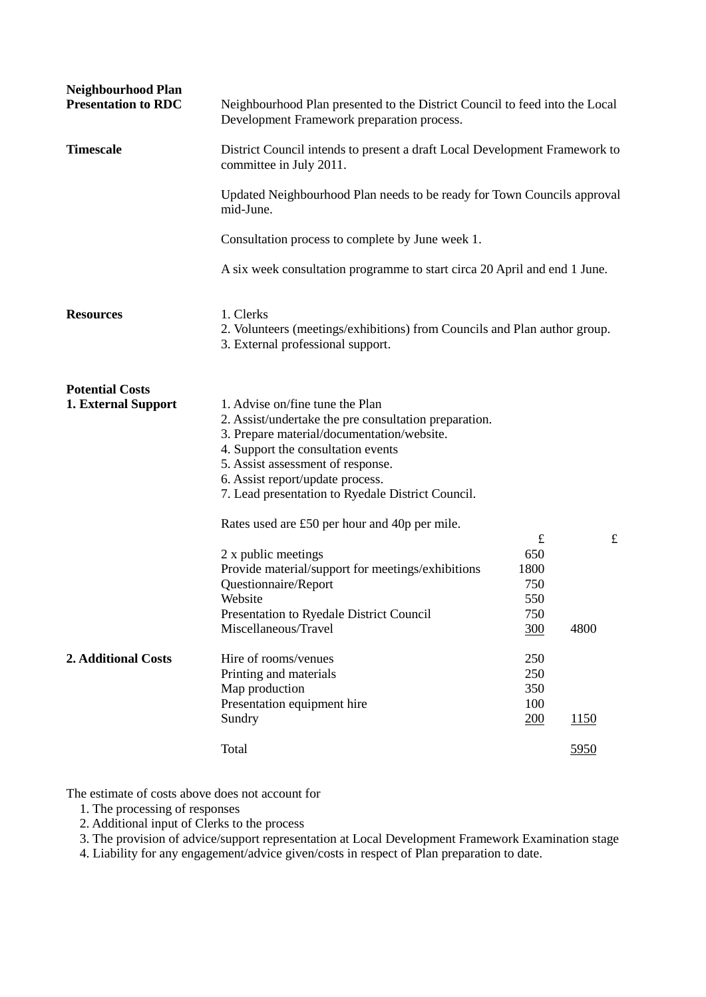| <b>Neighbourhood Plan</b><br><b>Presentation to RDC</b> | Neighbourhood Plan presented to the District Council to feed into the Local<br>Development Framework preparation process.                                                                                                                                                                                  |                                              |             |             |
|---------------------------------------------------------|------------------------------------------------------------------------------------------------------------------------------------------------------------------------------------------------------------------------------------------------------------------------------------------------------------|----------------------------------------------|-------------|-------------|
| <b>Timescale</b>                                        | District Council intends to present a draft Local Development Framework to<br>committee in July 2011.                                                                                                                                                                                                      |                                              |             |             |
|                                                         | Updated Neighbourhood Plan needs to be ready for Town Councils approval<br>mid-June.                                                                                                                                                                                                                       |                                              |             |             |
|                                                         | Consultation process to complete by June week 1.                                                                                                                                                                                                                                                           |                                              |             |             |
|                                                         | A six week consultation programme to start circa 20 April and end 1 June.                                                                                                                                                                                                                                  |                                              |             |             |
| <b>Resources</b>                                        | 1. Clerks<br>2. Volunteers (meetings/exhibitions) from Councils and Plan author group.<br>3. External professional support.                                                                                                                                                                                |                                              |             |             |
| <b>Potential Costs</b>                                  |                                                                                                                                                                                                                                                                                                            |                                              |             |             |
| 1. External Support                                     | 1. Advise on/fine tune the Plan<br>2. Assist/undertake the pre consultation preparation.<br>3. Prepare material/documentation/website.<br>4. Support the consultation events<br>5. Assist assessment of response.<br>6. Assist report/update process.<br>7. Lead presentation to Ryedale District Council. |                                              |             |             |
|                                                         | Rates used are £50 per hour and 40p per mile.                                                                                                                                                                                                                                                              |                                              |             |             |
|                                                         | 2 x public meetings<br>Provide material/support for meetings/exhibitions<br>Questionnaire/Report<br>Website<br>Presentation to Ryedale District Council<br>Miscellaneous/Travel                                                                                                                            | £<br>650<br>1800<br>750<br>550<br>750<br>300 | 4800        | $\mathbf f$ |
| <b>2. Additional Costs</b>                              | Hire of rooms/venues                                                                                                                                                                                                                                                                                       | 250                                          |             |             |
|                                                         | Printing and materials                                                                                                                                                                                                                                                                                     | 250                                          |             |             |
|                                                         | Map production                                                                                                                                                                                                                                                                                             | 350                                          |             |             |
|                                                         | Presentation equipment hire<br>Sundry                                                                                                                                                                                                                                                                      | 100<br>200                                   | <u>1150</u> |             |
|                                                         | Total                                                                                                                                                                                                                                                                                                      |                                              | 5950        |             |

The estimate of costs above does not account for

- 1. The processing of responses
- 2. Additional input of Clerks to the process

3. The provision of advice/support representation at Local Development Framework Examination stage

4. Liability for any engagement/advice given/costs in respect of Plan preparation to date.